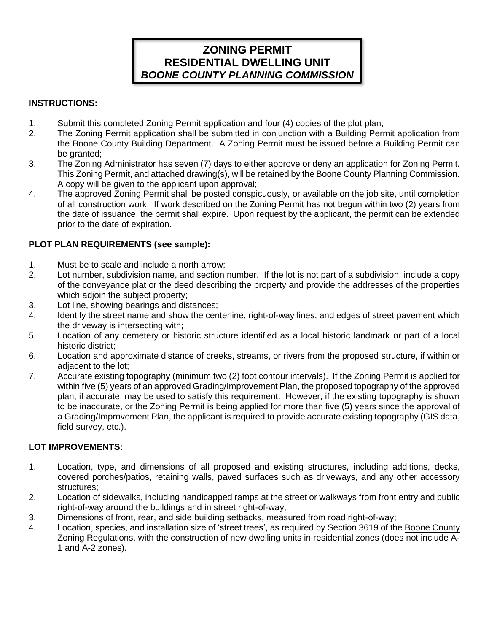# **ZONING PERMIT RESIDENTIAL DWELLING UNIT** *BOONE COUNTY PLANNING COMMISSION*

### **INSTRUCTIONS:**

- 1. Submit this completed Zoning Permit application and four (4) copies of the plot plan;
- 2. The Zoning Permit application shall be submitted in conjunction with a Building Permit application from the Boone County Building Department. A Zoning Permit must be issued before a Building Permit can be granted;
- 3. The Zoning Administrator has seven (7) days to either approve or deny an application for Zoning Permit. This Zoning Permit, and attached drawing(s), will be retained by the Boone County Planning Commission. A copy will be given to the applicant upon approval;
- 4. The approved Zoning Permit shall be posted conspicuously, or available on the job site, until completion of all construction work. If work described on the Zoning Permit has not begun within two (2) years from the date of issuance, the permit shall expire. Upon request by the applicant, the permit can be extended prior to the date of expiration.

### **PLOT PLAN REQUIREMENTS (see sample):**

- 1. Must be to scale and include a north arrow;
- 2. Lot number, subdivision name, and section number. If the lot is not part of a subdivision, include a copy of the conveyance plat or the deed describing the property and provide the addresses of the properties which adjoin the subject property;
- 3. Lot line, showing bearings and distances;
- 4. Identify the street name and show the centerline, right-of-way lines, and edges of street pavement which the driveway is intersecting with;
- 5. Location of any cemetery or historic structure identified as a local historic landmark or part of a local historic district;
- 6. Location and approximate distance of creeks, streams, or rivers from the proposed structure, if within or adjacent to the lot;
- 7. Accurate existing topography (minimum two (2) foot contour intervals). If the Zoning Permit is applied for within five (5) years of an approved Grading/Improvement Plan, the proposed topography of the approved plan, if accurate, may be used to satisfy this requirement. However, if the existing topography is shown to be inaccurate, or the Zoning Permit is being applied for more than five (5) years since the approval of a Grading/Improvement Plan, the applicant is required to provide accurate existing topography (GIS data, field survey, etc.).

## **LOT IMPROVEMENTS:**

- 1. Location, type, and dimensions of all proposed and existing structures, including additions, decks, covered porches/patios, retaining walls, paved surfaces such as driveways, and any other accessory structures;
- 2. Location of sidewalks, including handicapped ramps at the street or walkways from front entry and public right-of-way around the buildings and in street right-of-way;
- 3. Dimensions of front, rear, and side building setbacks, measured from road right-of-way;
- 4. Location, species, and installation size of 'street trees', as required by Section 3619 of the Boone County Zoning Regulations, with the construction of new dwelling units in residential zones (does not include A-1 and A-2 zones).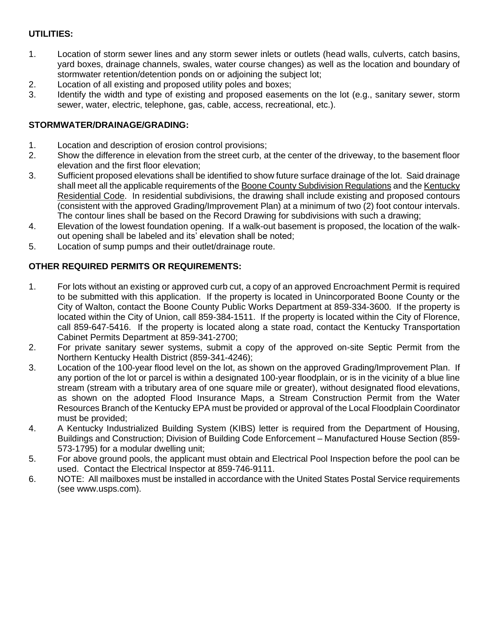# **UTILITIES:**

- 1. Location of storm sewer lines and any storm sewer inlets or outlets (head walls, culverts, catch basins, yard boxes, drainage channels, swales, water course changes) as well as the location and boundary of stormwater retention/detention ponds on or adjoining the subject lot;
- 2. Location of all existing and proposed utility poles and boxes;
- 3. Identify the width and type of existing and proposed easements on the lot (e.g., sanitary sewer, storm sewer, water, electric, telephone, gas, cable, access, recreational, etc.).

### **STORMWATER/DRAINAGE/GRADING:**

- 1. Location and description of erosion control provisions;
- 2. Show the difference in elevation from the street curb, at the center of the driveway, to the basement floor elevation and the first floor elevation;
- 3. Sufficient proposed elevations shall be identified to show future surface drainage of the lot. Said drainage shall meet all the applicable requirements of the Boone County Subdivision Regulations and the Kentucky Residential Code. In residential subdivisions, the drawing shall include existing and proposed contours (consistent with the approved Grading/Improvement Plan) at a minimum of two (2) foot contour intervals. The contour lines shall be based on the Record Drawing for subdivisions with such a drawing;
- 4. Elevation of the lowest foundation opening. If a walk-out basement is proposed, the location of the walkout opening shall be labeled and its' elevation shall be noted;
- 5. Location of sump pumps and their outlet/drainage route.

### **OTHER REQUIRED PERMITS OR REQUIREMENTS:**

- 1. For lots without an existing or approved curb cut, a copy of an approved Encroachment Permit is required to be submitted with this application. If the property is located in Unincorporated Boone County or the City of Walton, contact the Boone County Public Works Department at 859-334-3600. If the property is located within the City of Union, call 859-384-1511. If the property is located within the City of Florence, call 859-647-5416. If the property is located along a state road, contact the Kentucky Transportation Cabinet Permits Department at 859-341-2700;
- 2. For private sanitary sewer systems, submit a copy of the approved on-site Septic Permit from the Northern Kentucky Health District (859-341-4246);
- 3. Location of the 100-year flood level on the lot, as shown on the approved Grading/Improvement Plan. If any portion of the lot or parcel is within a designated 100-year floodplain, or is in the vicinity of a blue line stream (stream with a tributary area of one square mile or greater), without designated flood elevations, as shown on the adopted Flood Insurance Maps, a Stream Construction Permit from the Water Resources Branch of the Kentucky EPA must be provided or approval of the Local Floodplain Coordinator must be provided;
- 4. A Kentucky Industrialized Building System (KIBS) letter is required from the Department of Housing, Buildings and Construction; Division of Building Code Enforcement – Manufactured House Section (859- 573-1795) for a modular dwelling unit;
- 5. For above ground pools, the applicant must obtain and Electrical Pool Inspection before the pool can be used. Contact the Electrical Inspector at 859-746-9111.
- 6. NOTE: All mailboxes must be installed in accordance with the United States Postal Service requirements (see www.usps.com).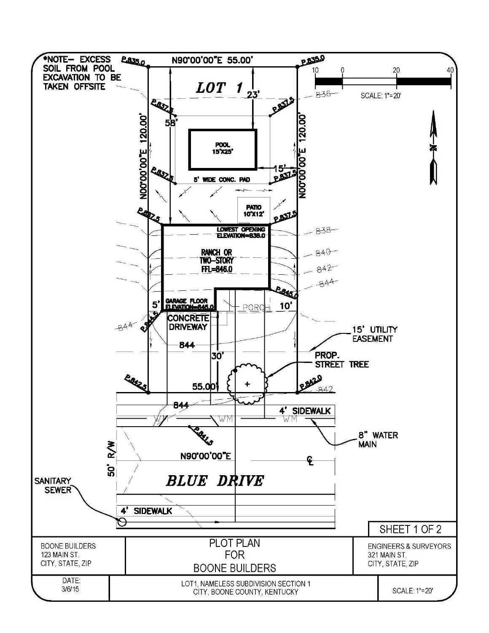